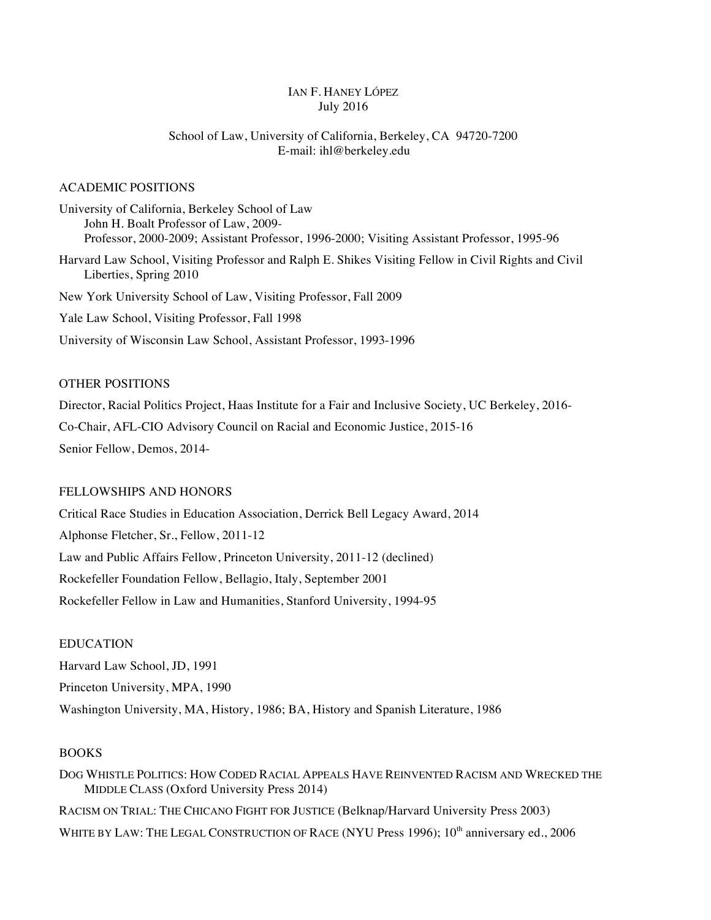## IAN F. HANEY LÓPEZ July 2016

# School of Law, University of California, Berkeley, CA 94720-7200 E-mail: ihl@berkeley.edu

## ACADEMIC POSITIONS

University of California, Berkeley School of Law John H. Boalt Professor of Law, 2009- Professor, 2000-2009; Assistant Professor, 1996-2000; Visiting Assistant Professor, 1995-96 Harvard Law School, Visiting Professor and Ralph E. Shikes Visiting Fellow in Civil Rights and Civil Liberties, Spring 2010 New York University School of Law, Visiting Professor, Fall 2009 Yale Law School, Visiting Professor, Fall 1998 University of Wisconsin Law School, Assistant Professor, 1993-1996

# OTHER POSITIONS

Director, Racial Politics Project, Haas Institute for a Fair and Inclusive Society, UC Berkeley, 2016- Co-Chair, AFL-CIO Advisory Council on Racial and Economic Justice, 2015-16 Senior Fellow, Demos, 2014-

# FELLOWSHIPS AND HONORS

Critical Race Studies in Education Association, Derrick Bell Legacy Award, 2014 Alphonse Fletcher, Sr., Fellow, 2011-12 Law and Public Affairs Fellow, Princeton University, 2011-12 (declined) Rockefeller Foundation Fellow, Bellagio, Italy, September 2001 Rockefeller Fellow in Law and Humanities, Stanford University, 1994-95

## EDUCATION

Harvard Law School, JD, 1991 Princeton University, MPA, 1990 Washington University, MA, History, 1986; BA, History and Spanish Literature, 1986

## **BOOKS**

DOG WHISTLE POLITICS: HOW CODED RACIAL APPEALS HAVE REINVENTED RACISM AND WRECKED THE MIDDLE CLASS (Oxford University Press 2014) RACISM ON TRIAL: THE CHICANO FIGHT FOR JUSTICE (Belknap/Harvard University Press 2003) WHITE BY LAW: THE LEGAL CONSTRUCTION OF RACE (NYU Press 1996); 10<sup>th</sup> anniversary ed., 2006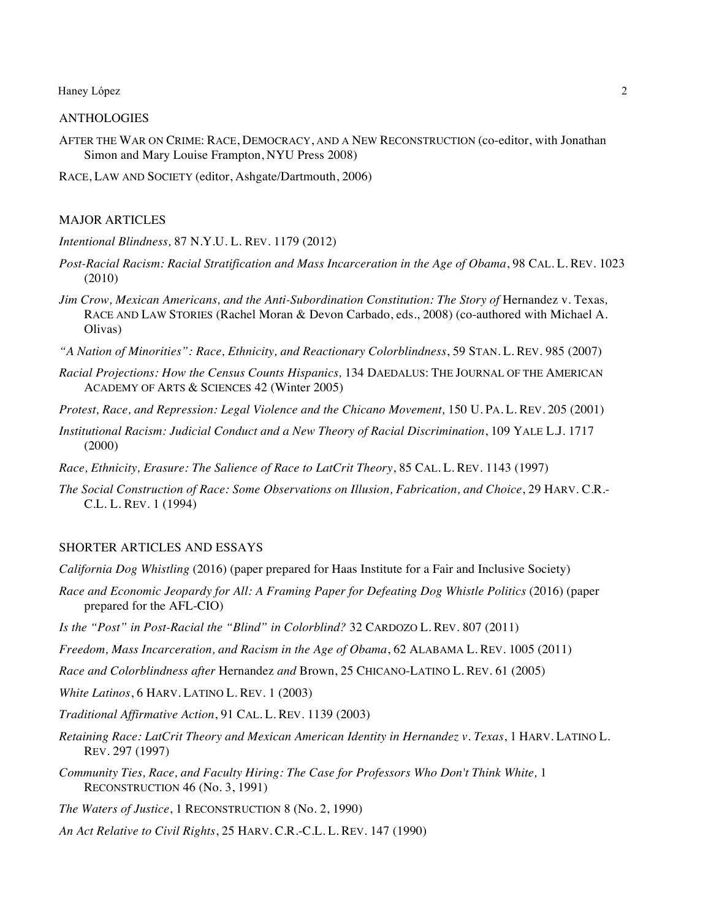### ANTHOLOGIES

AFTER THE WAR ON CRIME: RACE, DEMOCRACY, AND A NEW RECONSTRUCTION (co-editor, with Jonathan Simon and Mary Louise Frampton, NYU Press 2008)

RACE, LAW AND SOCIETY (editor, Ashgate/Dartmouth, 2006)

### MAJOR ARTICLES

*Intentional Blindness,* 87 N.Y.U. L. REV. 1179 (2012)

- *Post-Racial Racism: Racial Stratification and Mass Incarceration in the Age of Obama*, 98 CAL. L. REV. 1023 (2010)
- *Jim Crow, Mexican Americans, and the Anti-Subordination Constitution: The Story of Hernandez v. Texas,* RACE AND LAW STORIES (Rachel Moran & Devon Carbado, eds., 2008) (co-authored with Michael A. Olivas)
- *"A Nation of Minorities": Race, Ethnicity, and Reactionary Colorblindness*, 59 STAN. L. REV. 985 (2007)
- *Racial Projections: How the Census Counts Hispanics,* 134 DAEDALUS: THE JOURNAL OF THE AMERICAN ACADEMY OF ARTS & SCIENCES 42 (Winter 2005)
- *Protest, Race, and Repression: Legal Violence and the Chicano Movement,* 150 U. PA. L. REV. 205 (2001)
- *Institutional Racism: Judicial Conduct and a New Theory of Racial Discrimination*, 109 YALE L.J. 1717 (2000)
- *Race, Ethnicity, Erasure: The Salience of Race to LatCrit Theory*, 85 CAL. L. REV. 1143 (1997)
- *The Social Construction of Race: Some Observations on Illusion, Fabrication, and Choice*, 29 HARV. C.R.- C.L. L. REV. 1 (1994)

#### SHORTER ARTICLES AND ESSAYS

- *California Dog Whistling* (2016) (paper prepared for Haas Institute for a Fair and Inclusive Society)
- *Race and Economic Jeopardy for All: A Framing Paper for Defeating Dog Whistle Politics* (2016) (paper prepared for the AFL-CIO)
- *Is the "Post" in Post-Racial the "Blind" in Colorblind?* 32 CARDOZO L. REV. 807 (2011)
- *Freedom, Mass Incarceration, and Racism in the Age of Obama*, 62 ALABAMA L. REV. 1005 (2011)
- *Race and Colorblindness after* Hernandez *and* Brown, 25 CHICANO-LATINO L. REV. 61 (2005)

*White Latinos*, 6 HARV. LATINO L. REV. 1 (2003)

- *Traditional Affirmative Action*, 91 CAL. L. REV. 1139 (2003)
- *Retaining Race: LatCrit Theory and Mexican American Identity in Hernandez v. Texas*, 1 HARV. LATINO L. REV. 297 (1997)
- *Community Ties, Race, and Faculty Hiring: The Case for Professors Who Don't Think White,* 1 RECONSTRUCTION 46 (No. 3, 1991)

*The Waters of Justice*, 1 RECONSTRUCTION 8 (No. 2, 1990)

*An Act Relative to Civil Rights*, 25 HARV. C.R.-C.L. L. REV. 147 (1990)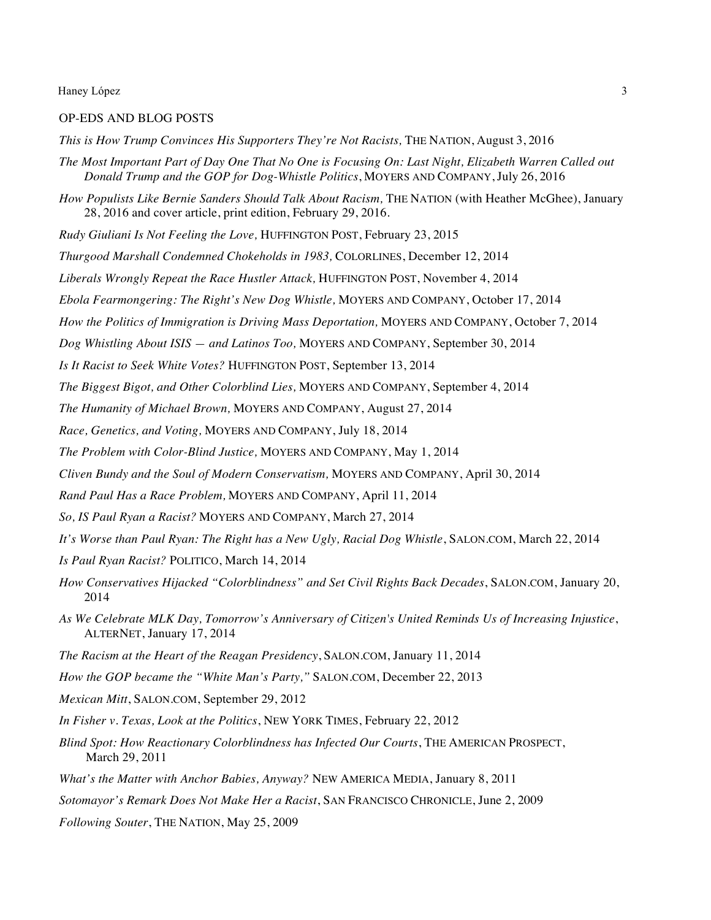### OP-EDS AND BLOG POSTS

*This is How Trump Convinces His Supporters They're Not Racists,* THE NATION, August 3, 2016

- *The Most Important Part of Day One That No One is Focusing On: Last Night, Elizabeth Warren Called out Donald Trump and the GOP for Dog-Whistle Politics*, MOYERS AND COMPANY, July 26, 2016
- How Populists Like Bernie Sanders Should Talk About Racism, THE NATION (with Heather McGhee), January 28, 2016 and cover article, print edition, February 29, 2016.
- *Rudy Giuliani Is Not Feeling the Love,* HUFFINGTON POST, February 23, 2015
- *Thurgood Marshall Condemned Chokeholds in 1983,* COLORLINES, December 12, 2014
- *Liberals Wrongly Repeat the Race Hustler Attack,* HUFFINGTON POST, November 4, 2014
- *Ebola Fearmongering: The Right's New Dog Whistle,* MOYERS AND COMPANY, October 17, 2014
- *How the Politics of Immigration is Driving Mass Deportation,* MOYERS AND COMPANY, October 7, 2014
- *Dog Whistling About ISIS — and Latinos Too,* MOYERS AND COMPANY, September 30, 2014
- *Is It Racist to Seek White Votes?* HUFFINGTON POST, September 13, 2014
- *The Biggest Bigot, and Other Colorblind Lies,* MOYERS AND COMPANY, September 4, 2014
- *The Humanity of Michael Brown,* MOYERS AND COMPANY, August 27, 2014
- *Race, Genetics, and Voting,* MOYERS AND COMPANY, July 18, 2014
- *The Problem with Color-Blind Justice,* MOYERS AND COMPANY, May 1, 2014
- *Cliven Bundy and the Soul of Modern Conservatism,* MOYERS AND COMPANY, April 30, 2014
- *Rand Paul Has a Race Problem,* MOYERS AND COMPANY, April 11, 2014
- *So, IS Paul Ryan a Racist?* MOYERS AND COMPANY, March 27, 2014
- *It's Worse than Paul Ryan: The Right has a New Ugly, Racial Dog Whistle*, SALON.COM, March 22, 2014
- *Is Paul Ryan Racist?* POLITICO, March 14, 2014
- *How Conservatives Hijacked "Colorblindness" and Set Civil Rights Back Decades*, SALON.COM, January 20, 2014
- *As We Celebrate MLK Day, Tomorrow's Anniversary of Citizen's United Reminds Us of Increasing Injustice*, ALTERNET, January 17, 2014
- *The Racism at the Heart of the Reagan Presidency*, SALON.COM, January 11, 2014
- *How the GOP became the "White Man's Party,"* SALON.COM, December 22, 2013
- *Mexican Mitt*, SALON.COM, September 29, 2012
- *In Fisher v. Texas, Look at the Politics*, NEW YORK TIMES, February 22, 2012
- *Blind Spot: How Reactionary Colorblindness has Infected Our Courts*, THE AMERICAN PROSPECT, March 29, 2011
- *What's the Matter with Anchor Babies, Anyway?* NEW AMERICA MEDIA, January 8, 2011
- *Sotomayor's Remark Does Not Make Her a Racist*, SAN FRANCISCO CHRONICLE, June 2, 2009
- *Following Souter*, THE NATION, May 25, 2009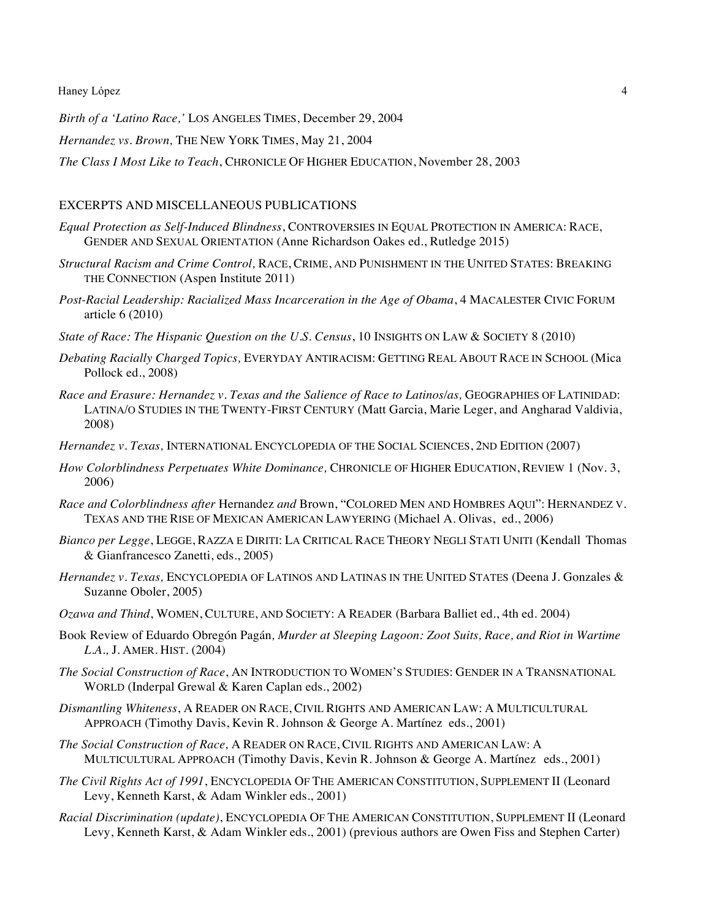*Birth of a 'Latino Race,'* LOS ANGELES TIMES, December 29, 2004

*Hernandez vs. Brown,* THE NEW YORK TIMES, May 21, 2004

*The Class I Most Like to Teach*, CHRONICLE OF HIGHER EDUCATION, November 28, 2003

## EXCERPTS AND MISCELLANEOUS PUBLICATIONS

- *Equal Protection as Self-Induced Blindness*, CONTROVERSIES IN EQUAL PROTECTION IN AMERICA: RACE, GENDER AND SEXUAL ORIENTATION (Anne Richardson Oakes ed., Rutledge 2015)
- *Structural Racism and Crime Control,* RACE, CRIME, AND PUNISHMENT IN THE UNITED STATES: BREAKING THE CONNECTION (Aspen Institute 2011)
- *Post-Racial Leadership: Racialized Mass Incarceration in the Age of Obama*, 4 MACALESTER CIVIC FORUM article 6 (2010)
- *State of Race: The Hispanic Question on the U.S. Census*, 10 INSIGHTS ON LAW & SOCIETY 8 (2010)
- *Debating Racially Charged Topics,* EVERYDAY ANTIRACISM: GETTING REAL ABOUT RACE IN SCHOOL (Mica Pollock ed., 2008)
- *Race and Erasure: Hernandez v. Texas and the Salience of Race to Latinos/as,* GEOGRAPHIES OF LATINIDAD: LATINA/O STUDIES IN THE TWENTY-FIRST CENTURY (Matt Garcia, Marie Leger, and Angharad Valdivia, 2008)
- *Hernandez v. Texas,* INTERNATIONAL ENCYCLOPEDIA OF THE SOCIAL SCIENCES, 2ND EDITION (2007)
- *How Colorblindness Perpetuates White Dominance,* CHRONICLE OF HIGHER EDUCATION, REVIEW 1 (Nov. 3, 2006)
- *Race and Colorblindness after* Hernandez *and* Brown, "COLORED MEN AND HOMBRES AQUI": HERNANDEZ V. TEXAS AND THE RISE OF MEXICAN AMERICAN LAWYERING (Michael A. Olivas, ed., 2006)
- *Bianco per Legge*, LEGGE, RAZZA E DIRITI: LA CRITICAL RACE THEORY NEGLI STATI UNITI (Kendall Thomas & Gianfrancesco Zanetti, eds., 2005)
- *Hernandez v. Texas,* ENCYCLOPEDIA OF LATINOS AND LATINAS IN THE UNITED STATES (Deena J. Gonzales & Suzanne Oboler, 2005)
- *Ozawa and Thind*, WOMEN, CULTURE, AND SOCIETY: A READER (Barbara Balliet ed., 4th ed. 2004)
- Book Review of Eduardo Obregón Pagán*, Murder at Sleeping Lagoon: Zoot Suits, Race, and Riot in Wartime L.A.,* J. AMER. HIST. (2004)
- *The Social Construction of Race*, AN INTRODUCTION TO WOMEN'S STUDIES: GENDER IN A TRANSNATIONAL WORLD (Inderpal Grewal & Karen Caplan eds., 2002)
- *Dismantling Whiteness*, A READER ON RACE, CIVIL RIGHTS AND AMERICAN LAW: A MULTICULTURAL APPROACH (Timothy Davis, Kevin R. Johnson & George A. Martínez eds., 2001)
- *The Social Construction of Race,* A READER ON RACE, CIVIL RIGHTS AND AMERICAN LAW: A MULTICULTURAL APPROACH (Timothy Davis, Kevin R. Johnson & George A. Martínez eds., 2001)
- *The Civil Rights Act of 1991*, ENCYCLOPEDIA OF THE AMERICAN CONSTITUTION, SUPPLEMENT II (Leonard Levy, Kenneth Karst, & Adam Winkler eds., 2001)
- *Racial Discrimination (update)*, ENCYCLOPEDIA OF THE AMERICAN CONSTITUTION, SUPPLEMENT II (Leonard Levy, Kenneth Karst, & Adam Winkler eds., 2001) (previous authors are Owen Fiss and Stephen Carter)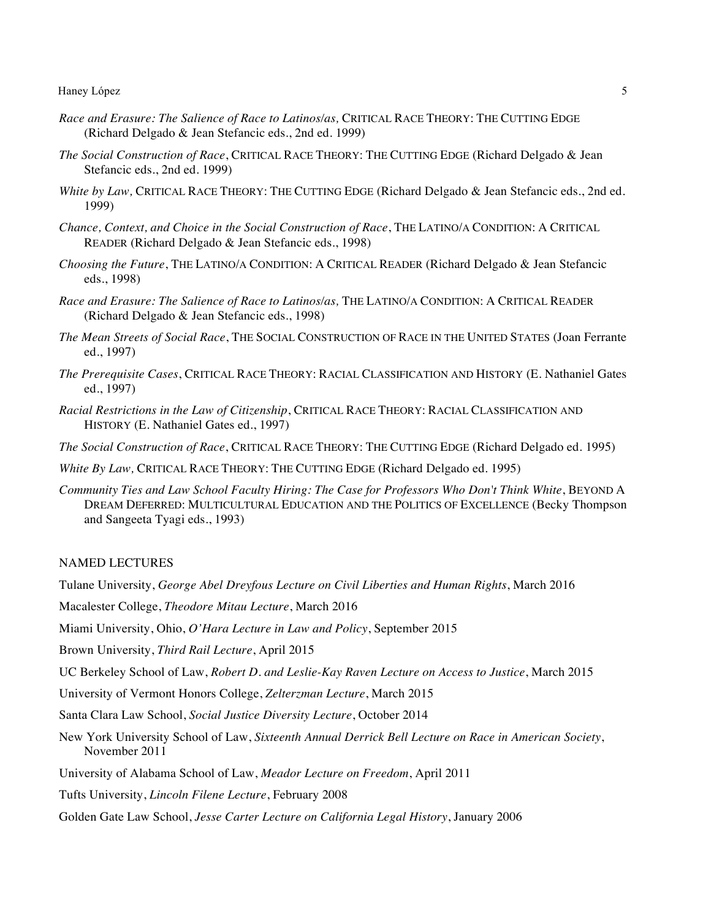- *Race and Erasure: The Salience of Race to Latinos/as,* CRITICAL RACE THEORY: THE CUTTING EDGE (Richard Delgado & Jean Stefancic eds., 2nd ed. 1999)
- *The Social Construction of Race*, CRITICAL RACE THEORY: THE CUTTING EDGE (Richard Delgado & Jean Stefancic eds., 2nd ed. 1999)
- *White by Law,* CRITICAL RACE THEORY: THE CUTTING EDGE (Richard Delgado & Jean Stefancic eds., 2nd ed. 1999)
- *Chance, Context, and Choice in the Social Construction of Race*, THE LATINO/A CONDITION: A CRITICAL READER (Richard Delgado & Jean Stefancic eds., 1998)
- *Choosing the Future*, THE LATINO/A CONDITION: A CRITICAL READER (Richard Delgado & Jean Stefancic eds., 1998)
- *Race and Erasure: The Salience of Race to Latinos/as,* THE LATINO/A CONDITION: A CRITICAL READER (Richard Delgado & Jean Stefancic eds., 1998)
- *The Mean Streets of Social Race*, THE SOCIAL CONSTRUCTION OF RACE IN THE UNITED STATES (Joan Ferrante ed., 1997)
- *The Prerequisite Cases*, CRITICAL RACE THEORY: RACIAL CLASSIFICATION AND HISTORY (E. Nathaniel Gates ed., 1997)
- *Racial Restrictions in the Law of Citizenship*, CRITICAL RACE THEORY: RACIAL CLASSIFICATION AND HISTORY (E. Nathaniel Gates ed., 1997)
- *The Social Construction of Race*, CRITICAL RACE THEORY: THE CUTTING EDGE (Richard Delgado ed. 1995)
- *White By Law,* CRITICAL RACE THEORY: THE CUTTING EDGE (Richard Delgado ed. 1995)
- *Community Ties and Law School Faculty Hiring: The Case for Professors Who Don't Think White*, BEYOND A DREAM DEFERRED: MULTICULTURAL EDUCATION AND THE POLITICS OF EXCELLENCE (Becky Thompson and Sangeeta Tyagi eds., 1993)

## NAMED LECTURES

Tulane University, *George Abel Dreyfous Lecture on Civil Liberties and Human Rights*, March 2016

Macalester College, *Theodore Mitau Lecture*, March 2016

Miami University, Ohio, *O'Hara Lecture in Law and Policy*, September 2015

Brown University, *Third Rail Lecture*, April 2015

UC Berkeley School of Law, *Robert D. and Leslie-Kay Raven Lecture on Access to Justice*, March 2015

University of Vermont Honors College, *Zelterzman Lecture*, March 2015

Santa Clara Law School, *Social Justice Diversity Lecture*, October 2014

New York University School of Law, *Sixteenth Annual Derrick Bell Lecture on Race in American Society*, November 2011

University of Alabama School of Law, *Meador Lecture on Freedom*, April 2011

Tufts University, *Lincoln Filene Lecture*, February 2008

Golden Gate Law School, *Jesse Carter Lecture on California Legal History*, January 2006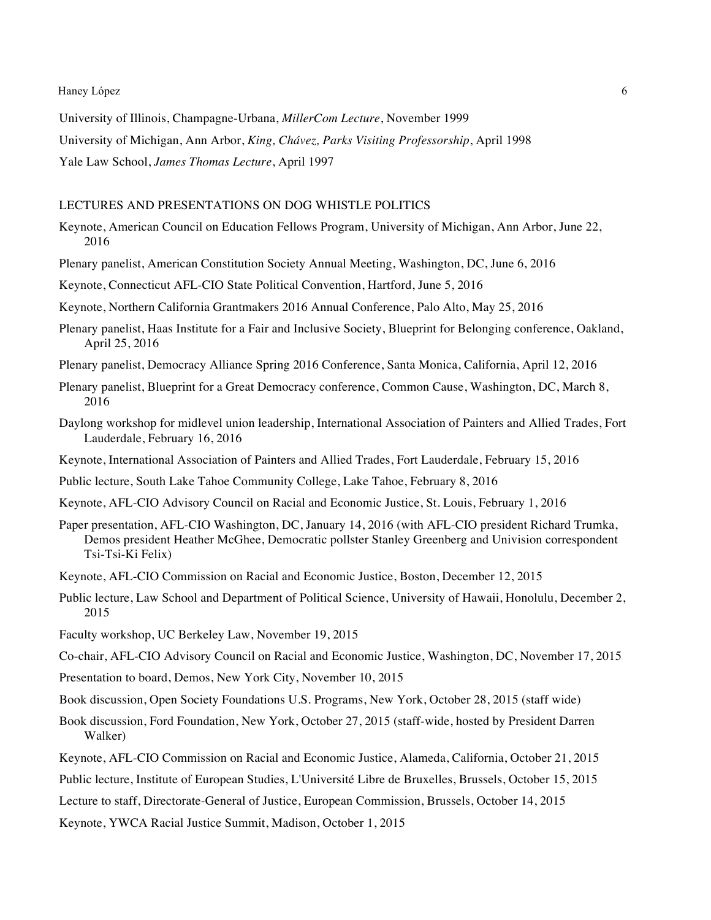University of Illinois, Champagne-Urbana, *MillerCom Lecture*, November 1999

University of Michigan, Ann Arbor, *King, Chávez, Parks Visiting Professorship*, April 1998

Yale Law School, *James Thomas Lecture*, April 1997

## LECTURES AND PRESENTATIONS ON DOG WHISTLE POLITICS

- Keynote, American Council on Education Fellows Program, University of Michigan, Ann Arbor, June 22, 2016
- Plenary panelist, American Constitution Society Annual Meeting, Washington, DC, June 6, 2016

Keynote, Connecticut AFL-CIO State Political Convention, Hartford, June 5, 2016

Keynote, Northern California Grantmakers 2016 Annual Conference, Palo Alto, May 25, 2016

- Plenary panelist, Haas Institute for a Fair and Inclusive Society, Blueprint for Belonging conference, Oakland, April 25, 2016
- Plenary panelist, Democracy Alliance Spring 2016 Conference, Santa Monica, California, April 12, 2016
- Plenary panelist, Blueprint for a Great Democracy conference, Common Cause, Washington, DC, March 8, 2016
- Daylong workshop for midlevel union leadership, International Association of Painters and Allied Trades, Fort Lauderdale, February 16, 2016
- Keynote, International Association of Painters and Allied Trades, Fort Lauderdale, February 15, 2016
- Public lecture, South Lake Tahoe Community College, Lake Tahoe, February 8, 2016
- Keynote, AFL-CIO Advisory Council on Racial and Economic Justice, St. Louis, February 1, 2016
- Paper presentation, AFL-CIO Washington, DC, January 14, 2016 (with AFL-CIO president Richard Trumka, Demos president Heather McGhee, Democratic pollster Stanley Greenberg and Univision correspondent Tsi-Tsi-Ki Felix)
- Keynote, AFL-CIO Commission on Racial and Economic Justice, Boston, December 12, 2015
- Public lecture, Law School and Department of Political Science, University of Hawaii, Honolulu, December 2, 2015
- Faculty workshop, UC Berkeley Law, November 19, 2015
- Co-chair, AFL-CIO Advisory Council on Racial and Economic Justice, Washington, DC, November 17, 2015
- Presentation to board, Demos, New York City, November 10, 2015
- Book discussion, Open Society Foundations U.S. Programs, New York, October 28, 2015 (staff wide)
- Book discussion, Ford Foundation, New York, October 27, 2015 (staff-wide, hosted by President Darren Walker)
- Keynote, AFL-CIO Commission on Racial and Economic Justice, Alameda, California, October 21, 2015
- Public lecture, Institute of European Studies, L'Université Libre de Bruxelles, Brussels, October 15, 2015
- Lecture to staff, Directorate-General of Justice, European Commission, Brussels, October 14, 2015

Keynote, YWCA Racial Justice Summit, Madison, October 1, 2015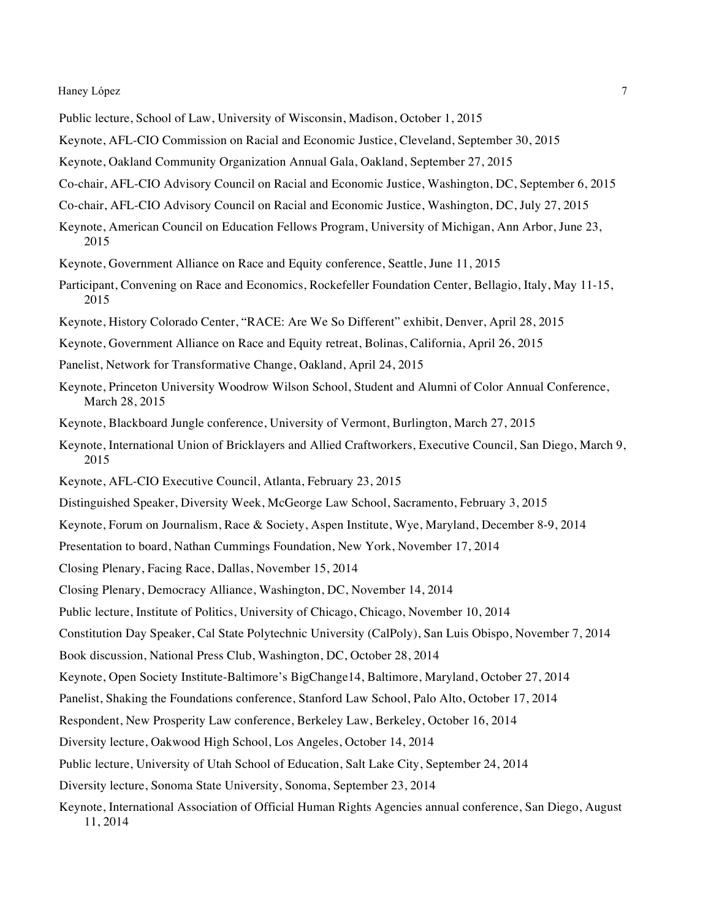- Public lecture, School of Law, University of Wisconsin, Madison, October 1, 2015
- Keynote, AFL-CIO Commission on Racial and Economic Justice, Cleveland, September 30, 2015
- Keynote, Oakland Community Organization Annual Gala, Oakland, September 27, 2015
- Co-chair, AFL-CIO Advisory Council on Racial and Economic Justice, Washington, DC, September 6, 2015
- Co-chair, AFL-CIO Advisory Council on Racial and Economic Justice, Washington, DC, July 27, 2015
- Keynote, American Council on Education Fellows Program, University of Michigan, Ann Arbor, June 23, 2015
- Keynote, Government Alliance on Race and Equity conference, Seattle, June 11, 2015
- Participant, Convening on Race and Economics, Rockefeller Foundation Center, Bellagio, Italy, May 11-15, 2015
- Keynote, History Colorado Center, "RACE: Are We So Different" exhibit, Denver, April 28, 2015
- Keynote, Government Alliance on Race and Equity retreat, Bolinas, California, April 26, 2015
- Panelist, Network for Transformative Change, Oakland, April 24, 2015
- Keynote, Princeton University Woodrow Wilson School, Student and Alumni of Color Annual Conference, March 28, 2015
- Keynote, Blackboard Jungle conference, University of Vermont, Burlington, March 27, 2015
- Keynote, International Union of Bricklayers and Allied Craftworkers, Executive Council, San Diego, March 9, 2015
- Keynote, AFL-CIO Executive Council, Atlanta, February 23, 2015
- Distinguished Speaker, Diversity Week, McGeorge Law School, Sacramento, February 3, 2015
- Keynote, Forum on Journalism, Race & Society, Aspen Institute, Wye, Maryland, December 8-9, 2014
- Presentation to board, Nathan Cummings Foundation, New York, November 17, 2014
- Closing Plenary, Facing Race, Dallas, November 15, 2014
- Closing Plenary, Democracy Alliance, Washington, DC, November 14, 2014
- Public lecture, Institute of Politics, University of Chicago, Chicago, November 10, 2014
- Constitution Day Speaker, Cal State Polytechnic University (CalPoly), San Luis Obispo, November 7, 2014
- Book discussion, National Press Club, Washington, DC, October 28, 2014
- Keynote, Open Society Institute-Baltimore's BigChange14, Baltimore, Maryland, October 27, 2014
- Panelist, Shaking the Foundations conference, Stanford Law School, Palo Alto, October 17, 2014
- Respondent, New Prosperity Law conference, Berkeley Law, Berkeley, October 16, 2014
- Diversity lecture, Oakwood High School, Los Angeles, October 14, 2014
- Public lecture, University of Utah School of Education, Salt Lake City, September 24, 2014
- Diversity lecture, Sonoma State University, Sonoma, September 23, 2014
- Keynote, International Association of Official Human Rights Agencies annual conference, San Diego, August 11, 2014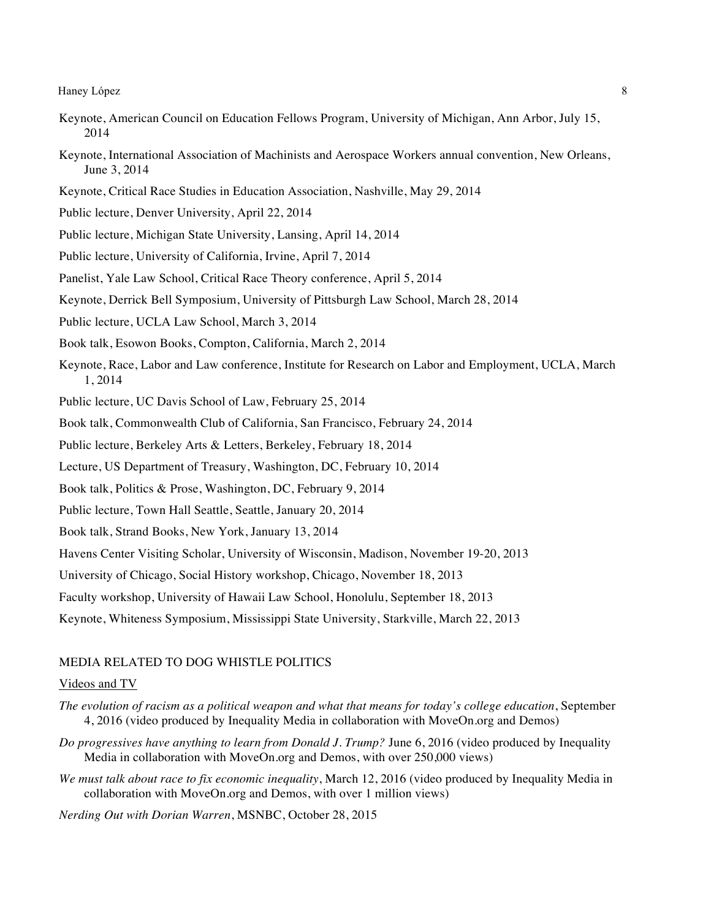- Keynote, American Council on Education Fellows Program, University of Michigan, Ann Arbor, July 15, 2014
- Keynote, International Association of Machinists and Aerospace Workers annual convention, New Orleans, June 3, 2014
- Keynote, Critical Race Studies in Education Association, Nashville, May 29, 2014
- Public lecture, Denver University, April 22, 2014
- Public lecture, Michigan State University, Lansing, April 14, 2014
- Public lecture, University of California, Irvine, April 7, 2014
- Panelist, Yale Law School, Critical Race Theory conference, April 5, 2014
- Keynote, Derrick Bell Symposium, University of Pittsburgh Law School, March 28, 2014
- Public lecture, UCLA Law School, March 3, 2014
- Book talk, Esowon Books, Compton, California, March 2, 2014
- Keynote, Race, Labor and Law conference, Institute for Research on Labor and Employment, UCLA, March 1, 2014
- Public lecture, UC Davis School of Law, February 25, 2014
- Book talk, Commonwealth Club of California, San Francisco, February 24, 2014
- Public lecture, Berkeley Arts & Letters, Berkeley, February 18, 2014
- Lecture, US Department of Treasury, Washington, DC, February 10, 2014
- Book talk, Politics & Prose, Washington, DC, February 9, 2014
- Public lecture, Town Hall Seattle, Seattle, January 20, 2014
- Book talk, Strand Books, New York, January 13, 2014
- Havens Center Visiting Scholar, University of Wisconsin, Madison, November 19-20, 2013
- University of Chicago, Social History workshop, Chicago, November 18, 2013
- Faculty workshop, University of Hawaii Law School, Honolulu, September 18, 2013
- Keynote, Whiteness Symposium, Mississippi State University, Starkville, March 22, 2013

### MEDIA RELATED TO DOG WHISTLE POLITICS

### Videos and TV

- *The evolution of racism as a political weapon and what that means for today's college education*, September 4, 2016 (video produced by Inequality Media in collaboration with MoveOn.org and Demos)
- *Do progressives have anything to learn from Donald J. Trump?* June 6, 2016 (video produced by Inequality Media in collaboration with MoveOn.org and Demos, with over 250,000 views)
- *We must talk about race to fix economic inequality*, March 12, 2016 (video produced by Inequality Media in collaboration with MoveOn.org and Demos, with over 1 million views)
- *Nerding Out with Dorian Warren*, MSNBC, October 28, 2015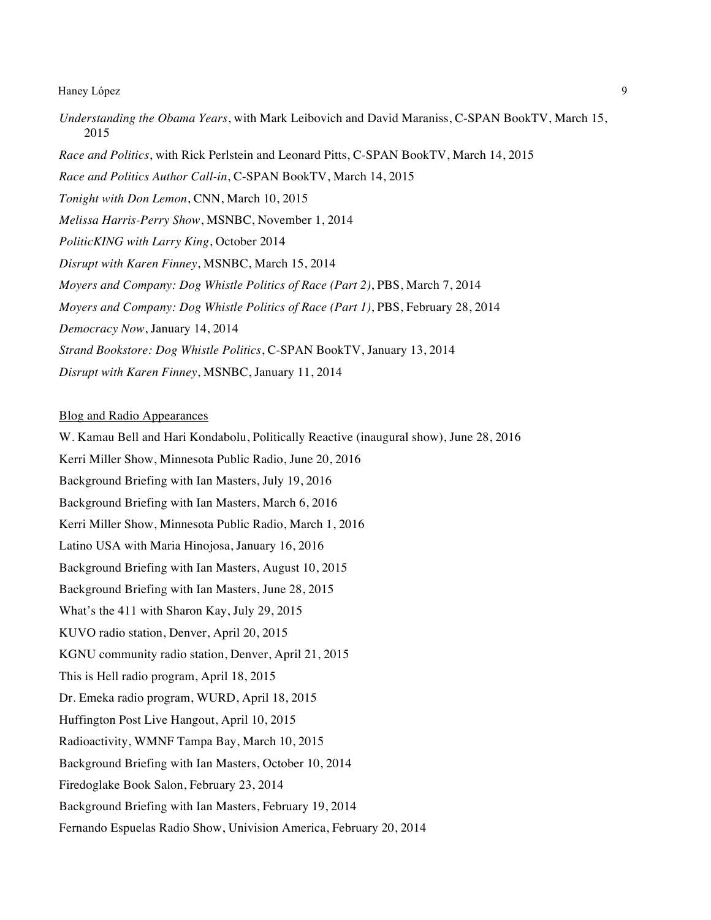*Understanding the Obama Years*, with Mark Leibovich and David Maraniss, C-SPAN BookTV, March 15, 2015 *Race and Politics*, with Rick Perlstein and Leonard Pitts, C-SPAN BookTV, March 14, 2015 *Race and Politics Author Call-in*, C-SPAN BookTV, March 14, 2015 *Tonight with Don Lemon*, CNN, March 10, 2015 *Melissa Harris-Perry Show*, MSNBC, November 1, 2014 *PoliticKING with Larry King*, October 2014 *Disrupt with Karen Finney*, MSNBC, March 15, 2014 *Moyers and Company: Dog Whistle Politics of Race (Part 2)*, PBS, March 7, 2014 *Moyers and Company: Dog Whistle Politics of Race (Part 1)*, PBS, February 28, 2014 *Democracy Now*, January 14, 2014 *Strand Bookstore: Dog Whistle Politics*, C-SPAN BookTV, January 13, 2014 *Disrupt with Karen Finney*, MSNBC, January 11, 2014

### Blog and Radio Appearances

W. Kamau Bell and Hari Kondabolu, Politically Reactive (inaugural show), June 28, 2016 Kerri Miller Show, Minnesota Public Radio, June 20, 2016 Background Briefing with Ian Masters, July 19, 2016 Background Briefing with Ian Masters, March 6, 2016 Kerri Miller Show, Minnesota Public Radio, March 1, 2016 Latino USA with Maria Hinojosa, January 16, 2016 Background Briefing with Ian Masters, August 10, 2015 Background Briefing with Ian Masters, June 28, 2015 What's the 411 with Sharon Kay, July 29, 2015 KUVO radio station, Denver, April 20, 2015 KGNU community radio station, Denver, April 21, 2015 This is Hell radio program, April 18, 2015 Dr. Emeka radio program, WURD, April 18, 2015 Huffington Post Live Hangout, April 10, 2015 Radioactivity, WMNF Tampa Bay, March 10, 2015 Background Briefing with Ian Masters, October 10, 2014 Firedoglake Book Salon, February 23, 2014 Background Briefing with Ian Masters, February 19, 2014 Fernando Espuelas Radio Show, Univision America, February 20, 2014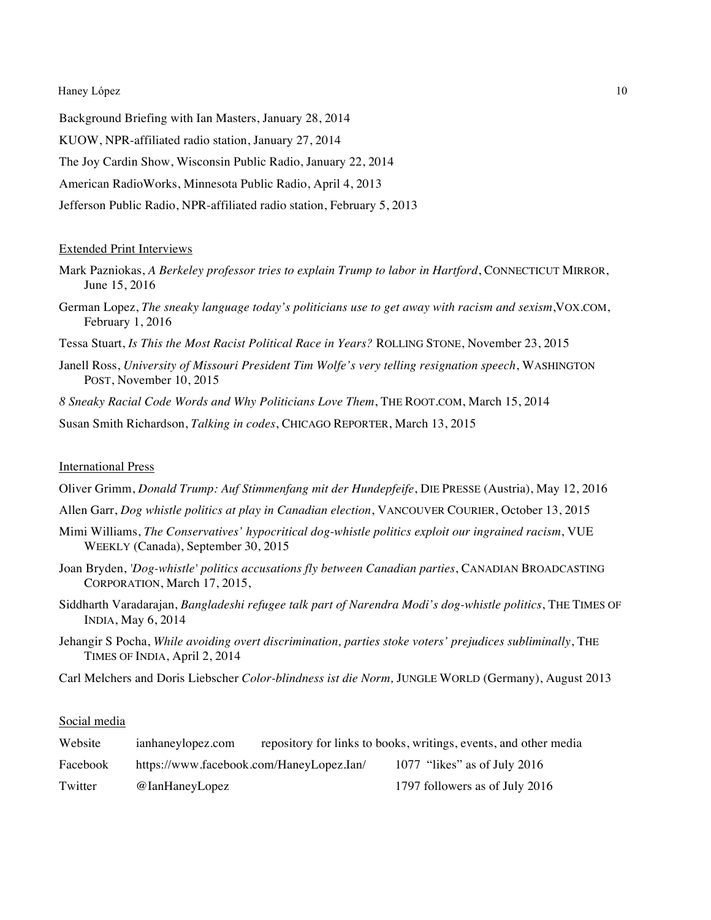Background Briefing with Ian Masters, January 28, 2014 KUOW, NPR-affiliated radio station, January 27, 2014 The Joy Cardin Show, Wisconsin Public Radio, January 22, 2014 American RadioWorks, Minnesota Public Radio, April 4, 2013 Jefferson Public Radio, NPR-affiliated radio station, February 5, 2013

### Extended Print Interviews

- Mark Pazniokas, *A Berkeley professor tries to explain Trump to labor in Hartford*, CONNECTICUT MIRROR, June 15, 2016
- German Lopez, *The sneaky language today's politicians use to get away with racism and sexism*,VOX.COM, February 1, 2016
- Tessa Stuart, *Is This the Most Racist Political Race in Years?* ROLLING STONE, November 23, 2015
- Janell Ross, *University of Missouri President Tim Wolfe's very telling resignation speech*, WASHINGTON POST, November 10, 2015
- *8 Sneaky Racial Code Words and Why Politicians Love Them*, THE ROOT.COM, March 15, 2014
- Susan Smith Richardson, *Talking in codes*, CHICAGO REPORTER, March 13, 2015

### International Press

- Oliver Grimm, *Donald Trump: Auf Stimmenfang mit der Hundepfeife*, DIE PRESSE (Austria), May 12, 2016
- Allen Garr, *Dog whistle politics at play in Canadian election*, VANCOUVER COURIER, October 13, 2015
- Mimi Williams, *The Conservatives' hypocritical dog-whistle politics exploit our ingrained racism*, VUE WEEKLY (Canada), September 30, 2015
- Joan Bryden, *'Dog-whistle' politics accusations fly between Canadian parties*, CANADIAN BROADCASTING CORPORATION, March 17, 2015,
- Siddharth Varadarajan, *Bangladeshi refugee talk part of Narendra Modi's dog-whistle politics*, THE TIMES OF INDIA, May 6, 2014
- Jehangir S Pocha, *While avoiding overt discrimination, parties stoke voters' prejudices subliminally*, THE TIMES OF INDIA, April 2, 2014
- Carl Melchers and Doris Liebscher *Color-blindness ist die Norm,* JUNGLE WORLD (Germany), August 2013

## Social media

| Website  | ianhaneylopez.com                        | repository for links to books, writings, events, and other media |
|----------|------------------------------------------|------------------------------------------------------------------|
| Facebook | https://www.facebook.com/HaneyLopez.Ian/ | 1077 "likes" as of July 2016                                     |
| Twitter  | @IanHaneyLopez                           | 1797 followers as of July 2016                                   |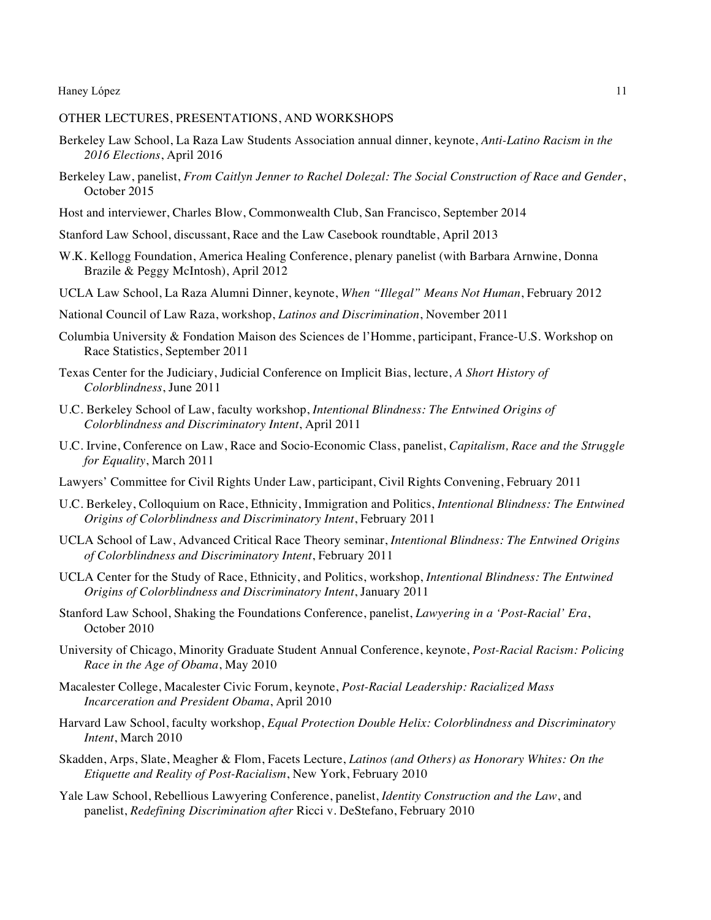### OTHER LECTURES, PRESENTATIONS, AND WORKSHOPS

- Berkeley Law School, La Raza Law Students Association annual dinner, keynote, *Anti-Latino Racism in the 2016 Elections*, April 2016
- Berkeley Law, panelist, *From Caitlyn Jenner to Rachel Dolezal: The Social Construction of Race and Gender*, October 2015
- Host and interviewer, Charles Blow, Commonwealth Club, San Francisco, September 2014
- Stanford Law School, discussant, Race and the Law Casebook roundtable, April 2013
- W.K. Kellogg Foundation, America Healing Conference, plenary panelist (with Barbara Arnwine, Donna Brazile & Peggy McIntosh), April 2012
- UCLA Law School, La Raza Alumni Dinner, keynote, *When "Illegal" Means Not Human*, February 2012
- National Council of Law Raza, workshop, *Latinos and Discrimination*, November 2011
- Columbia University & Fondation Maison des Sciences de l'Homme, participant, France-U.S. Workshop on Race Statistics, September 2011
- Texas Center for the Judiciary, Judicial Conference on Implicit Bias, lecture, *A Short History of Colorblindness*, June 2011
- U.C. Berkeley School of Law, faculty workshop, *Intentional Blindness: The Entwined Origins of Colorblindness and Discriminatory Intent*, April 2011
- U.C. Irvine, Conference on Law, Race and Socio-Economic Class, panelist, *Capitalism, Race and the Struggle for Equality*, March 2011
- Lawyers' Committee for Civil Rights Under Law, participant, Civil Rights Convening, February 2011
- U.C. Berkeley, Colloquium on Race, Ethnicity, Immigration and Politics, *Intentional Blindness: The Entwined Origins of Colorblindness and Discriminatory Intent*, February 2011
- UCLA School of Law, Advanced Critical Race Theory seminar, *Intentional Blindness: The Entwined Origins of Colorblindness and Discriminatory Intent*, February 2011
- UCLA Center for the Study of Race, Ethnicity, and Politics, workshop, *Intentional Blindness: The Entwined Origins of Colorblindness and Discriminatory Intent*, January 2011
- Stanford Law School, Shaking the Foundations Conference, panelist, *Lawyering in a 'Post-Racial' Era*, October 2010
- University of Chicago, Minority Graduate Student Annual Conference, keynote, *Post-Racial Racism: Policing Race in the Age of Obama*, May 2010
- Macalester College, Macalester Civic Forum, keynote, *Post-Racial Leadership: Racialized Mass Incarceration and President Obama*, April 2010
- Harvard Law School, faculty workshop, *Equal Protection Double Helix: Colorblindness and Discriminatory Intent*, March 2010
- Skadden, Arps, Slate, Meagher & Flom, Facets Lecture, *Latinos (and Others) as Honorary Whites: On the Etiquette and Reality of Post-Racialism*, New York, February 2010
- Yale Law School, Rebellious Lawyering Conference, panelist, *Identity Construction and the Law*, and panelist, *Redefining Discrimination after* Ricci v. DeStefano, February 2010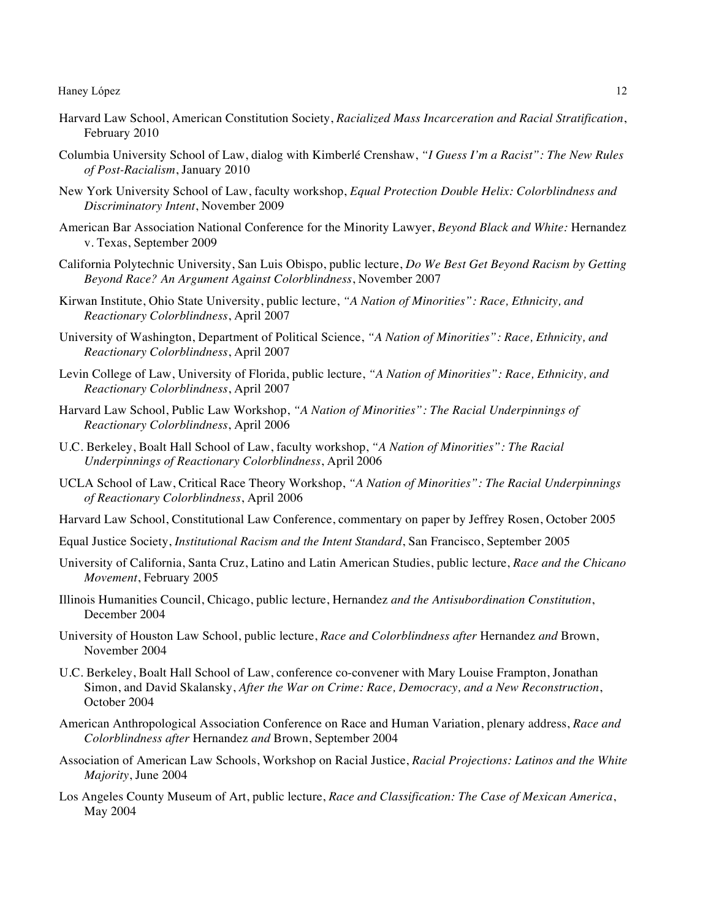- Harvard Law School, American Constitution Society, *Racialized Mass Incarceration and Racial Stratification*, February 2010
- Columbia University School of Law, dialog with Kimberlé Crenshaw, *"I Guess I'm a Racist": The New Rules of Post-Racialism*, January 2010
- New York University School of Law, faculty workshop, *Equal Protection Double Helix: Colorblindness and Discriminatory Intent*, November 2009
- American Bar Association National Conference for the Minority Lawyer, *Beyond Black and White:* Hernandez v. Texas, September 2009
- California Polytechnic University, San Luis Obispo, public lecture, *Do We Best Get Beyond Racism by Getting Beyond Race? An Argument Against Colorblindness*, November 2007
- Kirwan Institute, Ohio State University, public lecture, *"A Nation of Minorities": Race, Ethnicity, and Reactionary Colorblindness*, April 2007
- University of Washington, Department of Political Science, *"A Nation of Minorities": Race, Ethnicity, and Reactionary Colorblindness*, April 2007
- Levin College of Law, University of Florida, public lecture, *"A Nation of Minorities": Race, Ethnicity, and Reactionary Colorblindness*, April 2007
- Harvard Law School, Public Law Workshop, *"A Nation of Minorities": The Racial Underpinnings of Reactionary Colorblindness*, April 2006
- U.C. Berkeley, Boalt Hall School of Law, faculty workshop, *"A Nation of Minorities": The Racial Underpinnings of Reactionary Colorblindness*, April 2006
- UCLA School of Law, Critical Race Theory Workshop, *"A Nation of Minorities": The Racial Underpinnings of Reactionary Colorblindness*, April 2006
- Harvard Law School, Constitutional Law Conference, commentary on paper by Jeffrey Rosen, October 2005
- Equal Justice Society, *Institutional Racism and the Intent Standard*, San Francisco, September 2005
- University of California, Santa Cruz, Latino and Latin American Studies, public lecture, *Race and the Chicano Movement*, February 2005
- Illinois Humanities Council, Chicago, public lecture, Hernandez *and the Antisubordination Constitution*, December 2004
- University of Houston Law School, public lecture, *Race and Colorblindness after* Hernandez *and* Brown, November 2004
- U.C. Berkeley, Boalt Hall School of Law, conference co-convener with Mary Louise Frampton, Jonathan Simon, and David Skalansky, *After the War on Crime: Race, Democracy, and a New Reconstruction*, October 2004
- American Anthropological Association Conference on Race and Human Variation, plenary address, *Race and Colorblindness after* Hernandez *and* Brown, September 2004
- Association of American Law Schools, Workshop on Racial Justice, *Racial Projections: Latinos and the White Majority*, June 2004
- Los Angeles County Museum of Art, public lecture, *Race and Classification: The Case of Mexican America*, May 2004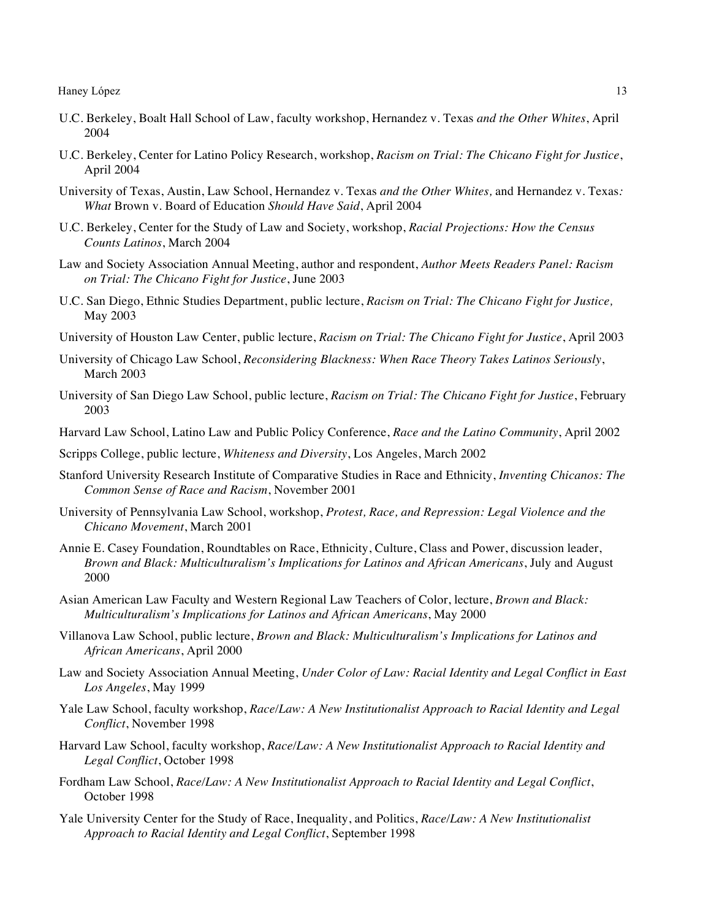- U.C. Berkeley, Boalt Hall School of Law, faculty workshop, Hernandez v. Texas *and the Other Whites*, April 2004
- U.C. Berkeley, Center for Latino Policy Research, workshop, *Racism on Trial: The Chicano Fight for Justice*, April 2004
- University of Texas, Austin, Law School, Hernandez v. Texas *and the Other Whites,* and Hernandez v. Texas*: What* Brown v. Board of Education *Should Have Said*, April 2004
- U.C. Berkeley, Center for the Study of Law and Society, workshop, *Racial Projections: How the Census Counts Latinos*, March 2004
- Law and Society Association Annual Meeting, author and respondent, *Author Meets Readers Panel: Racism on Trial: The Chicano Fight for Justice*, June 2003
- U.C. San Diego, Ethnic Studies Department, public lecture, *Racism on Trial: The Chicano Fight for Justice,*  May 2003
- University of Houston Law Center, public lecture, *Racism on Trial: The Chicano Fight for Justice*, April 2003
- University of Chicago Law School, *Reconsidering Blackness: When Race Theory Takes Latinos Seriously*, March 2003
- University of San Diego Law School, public lecture, *Racism on Trial: The Chicano Fight for Justice*, February 2003

Harvard Law School, Latino Law and Public Policy Conference, *Race and the Latino Community*, April 2002

Scripps College, public lecture, *Whiteness and Diversity*, Los Angeles, March 2002

- Stanford University Research Institute of Comparative Studies in Race and Ethnicity, *Inventing Chicanos: The Common Sense of Race and Racism*, November 2001
- University of Pennsylvania Law School, workshop, *Protest, Race, and Repression: Legal Violence and the Chicano Movement*, March 2001
- Annie E. Casey Foundation, Roundtables on Race, Ethnicity, Culture, Class and Power, discussion leader, *Brown and Black: Multiculturalism's Implications for Latinos and African Americans*, July and August 2000
- Asian American Law Faculty and Western Regional Law Teachers of Color, lecture, *Brown and Black: Multiculturalism's Implications for Latinos and African Americans*, May 2000
- Villanova Law School, public lecture, *Brown and Black: Multiculturalism's Implications for Latinos and African Americans*, April 2000
- Law and Society Association Annual Meeting, *Under Color of Law: Racial Identity and Legal Conflict in East Los Angeles*, May 1999
- Yale Law School, faculty workshop, *Race/Law: A New Institutionalist Approach to Racial Identity and Legal Conflict*, November 1998
- Harvard Law School, faculty workshop, *Race/Law: A New Institutionalist Approach to Racial Identity and Legal Conflict*, October 1998
- Fordham Law School, *Race/Law: A New Institutionalist Approach to Racial Identity and Legal Conflict*, October 1998
- Yale University Center for the Study of Race, Inequality, and Politics, *Race/Law: A New Institutionalist Approach to Racial Identity and Legal Conflict*, September 1998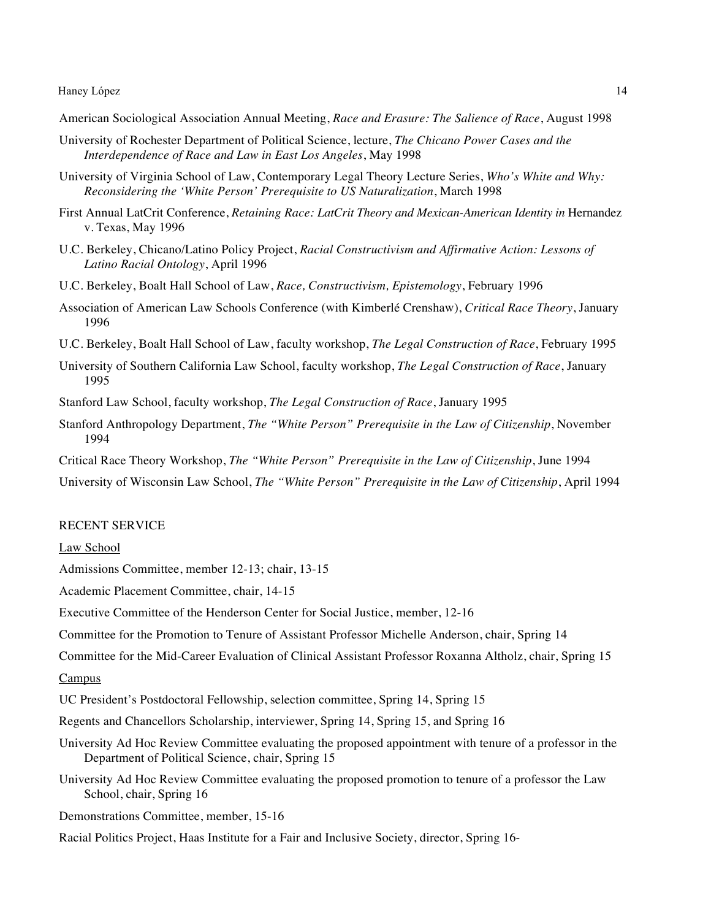- American Sociological Association Annual Meeting, *Race and Erasure: The Salience of Race*, August 1998
- University of Rochester Department of Political Science, lecture, *The Chicano Power Cases and the Interdependence of Race and Law in East Los Angeles*, May 1998
- University of Virginia School of Law, Contemporary Legal Theory Lecture Series, *Who's White and Why: Reconsidering the 'White Person' Prerequisite to US Naturalization*, March 1998
- First Annual LatCrit Conference, *Retaining Race: LatCrit Theory and Mexican-American Identity in* Hernandez v. Texas, May 1996
- U.C. Berkeley, Chicano/Latino Policy Project, *Racial Constructivism and Affirmative Action: Lessons of Latino Racial Ontology*, April 1996
- U.C. Berkeley, Boalt Hall School of Law, *Race, Constructivism, Epistemology*, February 1996
- Association of American Law Schools Conference (with Kimberlé Crenshaw), *Critical Race Theory*, January 1996
- U.C. Berkeley, Boalt Hall School of Law, faculty workshop, *The Legal Construction of Race*, February 1995
- University of Southern California Law School, faculty workshop, *The Legal Construction of Race*, January 1995
- Stanford Law School, faculty workshop, *The Legal Construction of Race*, January 1995
- Stanford Anthropology Department, *The "White Person" Prerequisite in the Law of Citizenship*, November 1994
- Critical Race Theory Workshop, *The "White Person" Prerequisite in the Law of Citizenship*, June 1994
- University of Wisconsin Law School, *The "White Person" Prerequisite in the Law of Citizenship*, April 1994

### RECENT SERVICE

#### Law School

Admissions Committee, member 12-13; chair, 13-15

Academic Placement Committee, chair, 14-15

Executive Committee of the Henderson Center for Social Justice, member, 12-16

Committee for the Promotion to Tenure of Assistant Professor Michelle Anderson, chair, Spring 14

Committee for the Mid-Career Evaluation of Clinical Assistant Professor Roxanna Altholz, chair, Spring 15

#### Campus

UC President's Postdoctoral Fellowship, selection committee, Spring 14, Spring 15

- Regents and Chancellors Scholarship, interviewer, Spring 14, Spring 15, and Spring 16
- University Ad Hoc Review Committee evaluating the proposed appointment with tenure of a professor in the Department of Political Science, chair, Spring 15
- University Ad Hoc Review Committee evaluating the proposed promotion to tenure of a professor the Law School, chair, Spring 16
- Demonstrations Committee, member, 15-16
- Racial Politics Project, Haas Institute for a Fair and Inclusive Society, director, Spring 16-